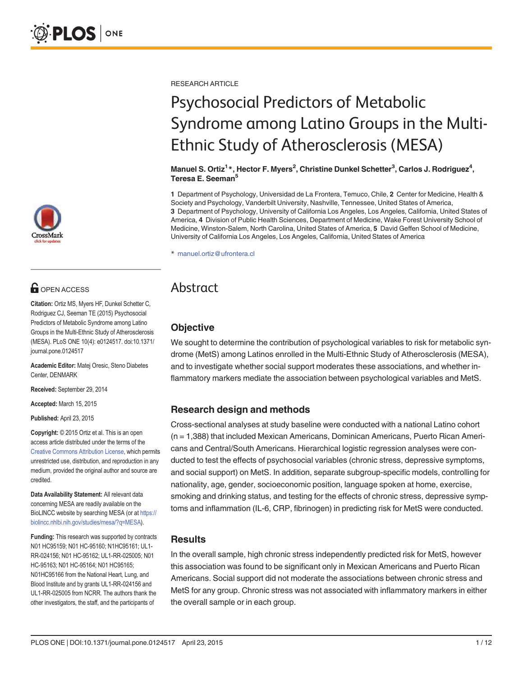

# **O** OPEN ACCESS

Citation: Ortiz MS, Myers HF, Dunkel Schetter C, Rodriguez CJ, Seeman TE (2015) Psychosocial Predictors of Metabolic Syndrome among Latino Groups in the Multi-Ethnic Study of Atherosclerosis (MESA). PLoS ONE 10(4): e0124517. doi:10.1371/ journal.pone.0124517

Academic Editor: Matej Oresic, Steno Diabetes Center, DENMARK

Received: September 29, 2014

Accepted: March 15, 2015

Published: April 23, 2015

Copyright: © 2015 Ortiz et al. This is an open access article distributed under the terms of the [Creative Commons Attribution License,](http://creativecommons.org/licenses/by/4.0/) which permits unrestricted use, distribution, and reproduction in any medium, provided the original author and source are credited.

Data Availability Statement: All relevant data concerning MESA are readily available on the BioLINCC website by searching MESA (or at [https://](https://biolincc.nhlbi.nih.gov/studies/mesa/?q=MESA) [biolincc.nhlbi.nih.gov/studies/mesa/?q=MESA\)](https://biolincc.nhlbi.nih.gov/studies/mesa/?q=MESA).

Funding: This research was supported by contracts N01 HC95159; N01 HC‑95160; N1HC95161; UL1- RR-024156; N01 HC‑95162; UL1-RR-025005; N01 HC‑95163; N01 HC‑95164; N01 HC95165; N01HC95166 from the National Heart, Lung, and Blood Institute and by grants UL1-RR-024156 and UL1-RR-025005 from NCRR. The authors thank the other investigators, the staff, and the participants of

RESEARCH ARTICLE

# Psychosocial Predictors of Metabolic Syndrome among Latino Groups in the Multi-Ethnic Study of Atherosclerosis (MESA)

Manuel S. Ortiz<sup>1</sup>\*, Hector F. Myers<sup>2</sup>, Christine Dunkel Schetter<sup>3</sup>, Carlos J. Rodriguez<sup>4</sup>, Teresa E. Seeman<sup>5</sup>

1 Department of Psychology, Universidad de La Frontera, Temuco, Chile, 2 Center for Medicine, Health & Society and Psychology, Vanderbilt University, Nashville, Tennessee, United States of America, 3 Department of Psychology, University of California Los Angeles, Los Angeles, California, United States of America, 4 Division of Public Health Sciences, Department of Medicine, Wake Forest University School of Medicine, Winston-Salem, North Carolina, United States of America, 5 David Geffen School of Medicine, University of California Los Angeles, Los Angeles, California, United States of America

\* manuel.ortiz@ufrontera.cl

# Abstract

# **Objective**

We sought to determine the contribution of psychological variables to risk for metabolic syndrome (MetS) among Latinos enrolled in the Multi-Ethnic Study of Atherosclerosis (MESA), and to investigate whether social support moderates these associations, and whether inflammatory markers mediate the association between psychological variables and MetS.

### Research design and methods

Cross-sectional analyses at study baseline were conducted with a national Latino cohort (n = 1,388) that included Mexican Americans, Dominican Americans, Puerto Rican Americans and Central/South Americans. Hierarchical logistic regression analyses were conducted to test the effects of psychosocial variables (chronic stress, depressive symptoms, and social support) on MetS. In addition, separate subgroup-specific models, controlling for nationality, age, gender, socioeconomic position, language spoken at home, exercise, smoking and drinking status, and testing for the effects of chronic stress, depressive symptoms and inflammation (IL-6, CRP, fibrinogen) in predicting risk for MetS were conducted.

### **Results**

In the overall sample, high chronic stress independently predicted risk for MetS, however this association was found to be significant only in Mexican Americans and Puerto Rican Americans. Social support did not moderate the associations between chronic stress and MetS for any group. Chronic stress was not associated with inflammatory markers in either the overall sample or in each group.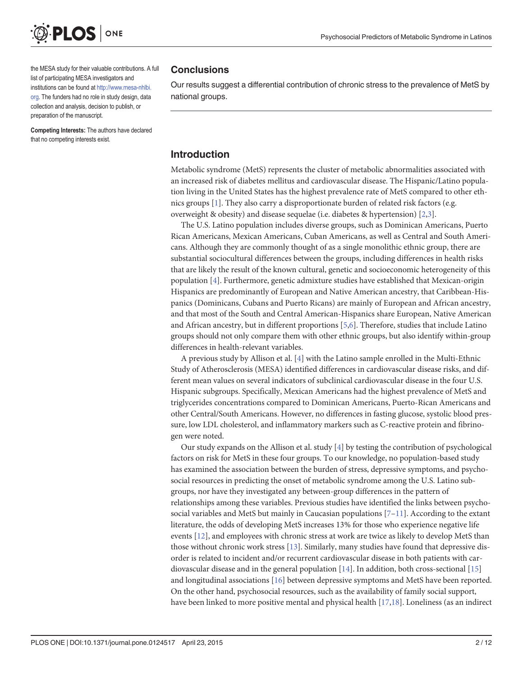<span id="page-1-0"></span>

the MESA study for their valuable contributions. A full list of participating MESA investigators and institutions can be found at [http://www.mesa-nhlbi.](http://www.mesa-nhlbi.org) [org](http://www.mesa-nhlbi.org). The funders had no role in study design, data collection and analysis, decision to publish, or preparation of the manuscript.

Competing Interests: The authors have declared that no competing interests exist.

#### **Conclusions**

Our results suggest a differential contribution of chronic stress to the prevalence of MetS by national groups.

## Introduction

Metabolic syndrome (MetS) represents the cluster of metabolic abnormalities associated with an increased risk of diabetes mellitus and cardiovascular disease. The Hispanic/Latino population living in the United States has the highest prevalence rate of MetS compared to other ethnics groups [\[1\]](#page-9-0). They also carry a disproportionate burden of related risk factors (e.g. overweight & obesity) and disease sequelae (i.e. diabetes & hypertension) [[2,3](#page-9-0)].

The U.S. Latino population includes diverse groups, such as Dominican Americans, Puerto Rican Americans, Mexican Americans, Cuban Americans, as well as Central and South Americans. Although they are commonly thought of as a single monolithic ethnic group, there are substantial sociocultural differences between the groups, including differences in health risks that are likely the result of the known cultural, genetic and socioeconomic heterogeneity of this population [\[4](#page-9-0)]. Furthermore, genetic admixture studies have established that Mexican-origin Hispanics are predominantly of European and Native American ancestry, that Caribbean-Hispanics (Dominicans, Cubans and Puerto Ricans) are mainly of European and African ancestry, and that most of the South and Central American-Hispanics share European, Native American and African ancestry, but in different proportions [[5,6\]](#page-9-0). Therefore, studies that include Latino groups should not only compare them with other ethnic groups, but also identify within-group differences in health-relevant variables.

A previous study by Allison et al. [[4\]](#page-9-0) with the Latino sample enrolled in the Multi-Ethnic Study of Atherosclerosis (MESA) identified differences in cardiovascular disease risks, and different mean values on several indicators of subclinical cardiovascular disease in the four U.S. Hispanic subgroups. Specifically, Mexican Americans had the highest prevalence of MetS and triglycerides concentrations compared to Dominican Americans, Puerto-Rican Americans and other Central/South Americans. However, no differences in fasting glucose, systolic blood pressure, low LDL cholesterol, and inflammatory markers such as C-reactive protein and fibrinogen were noted.

Our study expands on the Allison et al. study  $[4]$  $[4]$  $[4]$  by testing the contribution of psychological factors on risk for MetS in these four groups. To our knowledge, no population-based study has examined the association between the burden of stress, depressive symptoms, and psychosocial resources in predicting the onset of metabolic syndrome among the U.S. Latino subgroups, nor have they investigated any between-group differences in the pattern of relationships among these variables. Previous studies have identified the links between psychosocial variables and MetS but mainly in Caucasian populations  $[7-11]$  $[7-11]$  $[7-11]$ . According to the extant literature, the odds of developing MetS increases 13% for those who experience negative life events [[12](#page-10-0)], and employees with chronic stress at work are twice as likely to develop MetS than those without chronic work stress [\[13\]](#page-10-0). Similarly, many studies have found that depressive disorder is related to incident and/or recurrent cardiovascular disease in both patients with cardiovascular disease and in the general population [\[14\]](#page-10-0). In addition, both cross-sectional [\[15\]](#page-10-0) and longitudinal associations [\[16\]](#page-10-0) between depressive symptoms and MetS have been reported. On the other hand, psychosocial resources, such as the availability of family social support, have been linked to more positive mental and physical health [\[17,18\]](#page-10-0). Loneliness (as an indirect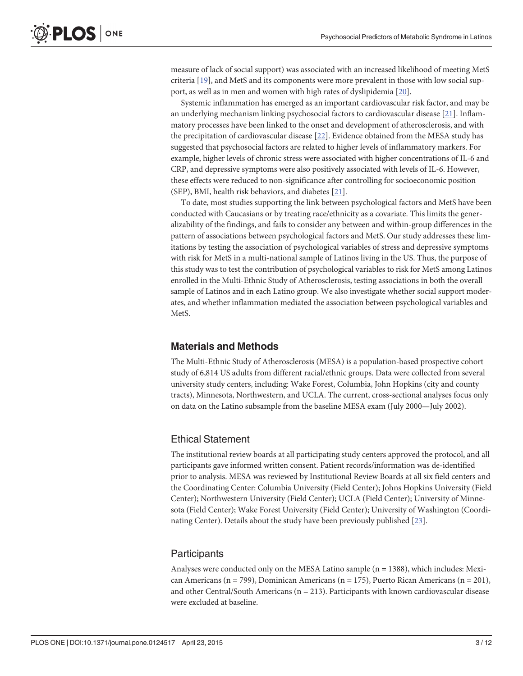<span id="page-2-0"></span>measure of lack of social support) was associated with an increased likelihood of meeting MetS criteria [[19](#page-10-0)], and MetS and its components were more prevalent in those with low social support, as well as in men and women with high rates of dyslipidemia [[20](#page-10-0)].

Systemic inflammation has emerged as an important cardiovascular risk factor, and may be an underlying mechanism linking psychosocial factors to cardiovascular disease [[21\]](#page-10-0). Inflammatory processes have been linked to the onset and development of atherosclerosis, and with the precipitation of cardiovascular disease [\[22\]](#page-10-0). Evidence obtained from the MESA study has suggested that psychosocial factors are related to higher levels of inflammatory markers. For example, higher levels of chronic stress were associated with higher concentrations of IL-6 and CRP, and depressive symptoms were also positively associated with levels of IL-6. However, these effects were reduced to non-significance after controlling for socioeconomic position (SEP), BMI, health risk behaviors, and diabetes [\[21\]](#page-10-0).

To date, most studies supporting the link between psychological factors and MetS have been conducted with Caucasians or by treating race/ethnicity as a covariate. This limits the generalizability of the findings, and fails to consider any between and within-group differences in the pattern of associations between psychological factors and MetS. Our study addresses these limitations by testing the association of psychological variables of stress and depressive symptoms with risk for MetS in a multi-national sample of Latinos living in the US. Thus, the purpose of this study was to test the contribution of psychological variables to risk for MetS among Latinos enrolled in the Multi-Ethnic Study of Atherosclerosis, testing associations in both the overall sample of Latinos and in each Latino group. We also investigate whether social support moderates, and whether inflammation mediated the association between psychological variables and MetS.

### Materials and Methods

The Multi-Ethnic Study of Atherosclerosis (MESA) is a population-based prospective cohort study of 6,814 US adults from different racial/ethnic groups. Data were collected from several university study centers, including: Wake Forest, Columbia, John Hopkins (city and county tracts), Minnesota, Northwestern, and UCLA. The current, cross-sectional analyses focus only on data on the Latino subsample from the baseline MESA exam (July 2000—July 2002).

#### Ethical Statement

The institutional review boards at all participating study centers approved the protocol, and all participants gave informed written consent. Patient records/information was de-identified prior to analysis. MESA was reviewed by Institutional Review Boards at all six field centers and the Coordinating Center: Columbia University (Field Center); Johns Hopkins University (Field Center); Northwestern University (Field Center); UCLA (Field Center); University of Minnesota (Field Center); Wake Forest University (Field Center); University of Washington (Coordinating Center). Details about the study have been previously published [\[23\]](#page-10-0).

#### **Participants**

Analyses were conducted only on the MESA Latino sample  $(n = 1388)$ , which includes: Mexican Americans (n = 799), Dominican Americans (n = 175), Puerto Rican Americans (n = 201), and other Central/South Americans ( $n = 213$ ). Participants with known cardiovascular disease were excluded at baseline.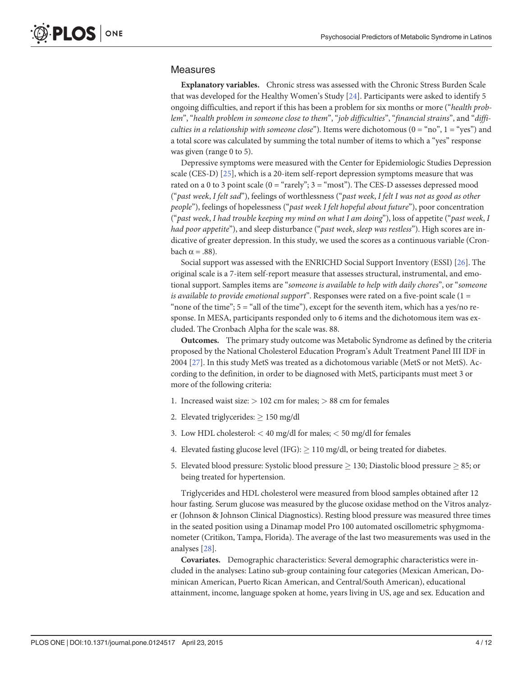#### <span id="page-3-0"></span>Measures

Explanatory variables. Chronic stress was assessed with the Chronic Stress Burden Scale that was developed for the Healthy Women's Study [[24](#page-10-0)]. Participants were asked to identify 5 ongoing difficulties, and report if this has been a problem for six months or more ("health problem", "health problem in someone close to them", "job difficulties", "financial strains", and "diffi*culties in a relationship with someone close*"). Items were dichotomous  $(0 = "no", 1 = "yes")$  and a total score was calculated by summing the total number of items to which a "yes" response was given (range 0 to 5).

Depressive symptoms were measured with the Center for Epidemiologic Studies Depression scale (CES-D) [\[25\]](#page-10-0), which is a 20-item self-report depression symptoms measure that was rated on a 0 to 3 point scale  $(0 = "rarely"; 3 = "most".$  The CES-D assesses depressed mood ("past week, I felt sad"), feelings of worthlessness ("past week, I felt I was not as good as other people"), feelings of hopelessness ("past week I felt hopeful about future"), poor concentration ("past week, I had trouble keeping my mind on what I am doing"), loss of appetite ("past week, I had poor appetite"), and sleep disturbance ("past week, sleep was restless"). High scores are indicative of greater depression. In this study, we used the scores as a continuous variable (Cronbach  $α = .88$ ).

Social support was assessed with the ENRICHD Social Support Inventory (ESSI) [\[26\]](#page-10-0). The original scale is a 7-item self-report measure that assesses structural, instrumental, and emotional support. Samples items are "someone is available to help with daily chores", or "someone is available to provide emotional support". Responses were rated on a five-point scale  $(1 =$ "none of the time";  $5 =$  "all of the time"), except for the seventh item, which has a yes/no response. In MESA, participants responded only to 6 items and the dichotomous item was excluded. The Cronbach Alpha for the scale was. 88.

Outcomes. The primary study outcome was Metabolic Syndrome as defined by the criteria proposed by the National Cholesterol Education Program's Adult Treatment Panel III IDF in 2004 [[27](#page-10-0)]. In this study MetS was treated as a dichotomous variable (MetS or not MetS). According to the definition, in order to be diagnosed with MetS, participants must meet 3 or more of the following criteria:

- 1. Increased waist size:  $> 102$  cm for males;  $> 88$  cm for females
- 2. Elevated triglycerides:  $\geq 150$  mg/dl
- 3. Low HDL cholesterol: < 40 mg/dl for males; < 50 mg/dl for females
- 4. Elevated fasting glucose level (IFG):  $\geq$  110 mg/dl, or being treated for diabetes.
- 5. Elevated blood pressure: Systolic blood pressure  $\geq 130$ ; Diastolic blood pressure  $\geq 85$ ; or being treated for hypertension.

Triglycerides and HDL cholesterol were measured from blood samples obtained after 12 hour fasting. Serum glucose was measured by the glucose oxidase method on the Vitros analyzer (Johnson & Johnson Clinical Diagnostics). Resting blood pressure was measured three times in the seated position using a Dinamap model Pro 100 automated oscillometric sphygmomanometer (Critikon, Tampa, Florida). The average of the last two measurements was used in the analyses [\[28\]](#page-10-0).

Covariates. Demographic characteristics: Several demographic characteristics were included in the analyses: Latino sub-group containing four categories (Mexican American, Dominican American, Puerto Rican American, and Central/South American), educational attainment, income, language spoken at home, years living in US, age and sex. Education and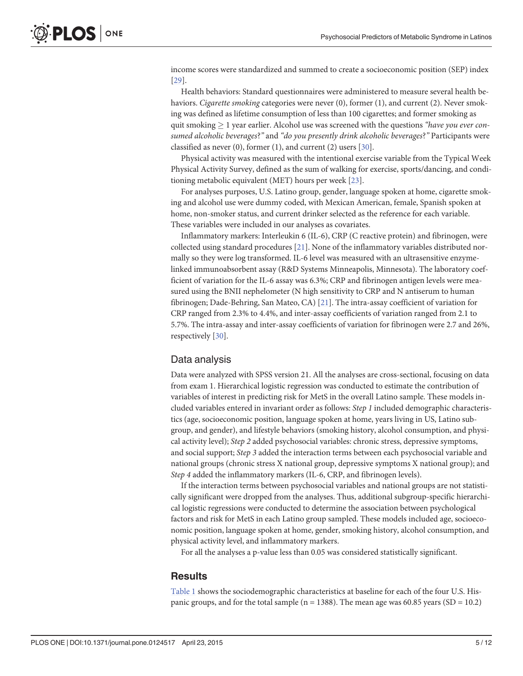<span id="page-4-0"></span>income scores were standardized and summed to create a socioeconomic position (SEP) index [\[29](#page-10-0)].

Health behaviors: Standard questionnaires were administered to measure several health behaviors. Cigarette smoking categories were never (0), former (1), and current (2). Never smoking was defined as lifetime consumption of less than 100 cigarettes; and former smoking as quit smoking  $\geq 1$  year earlier. Alcohol use was screened with the questions "have you ever consumed alcoholic beverages?" and "do you presently drink alcoholic beverages?" Participants were classified as never (0), former (1), and current (2) users [[30\]](#page-10-0).

Physical activity was measured with the intentional exercise variable from the Typical Week Physical Activity Survey, defined as the sum of walking for exercise, sports/dancing, and conditioning metabolic equivalent (MET) hours per week [\[23\]](#page-10-0).

For analyses purposes, U.S. Latino group, gender, language spoken at home, cigarette smoking and alcohol use were dummy coded, with Mexican American, female, Spanish spoken at home, non-smoker status, and current drinker selected as the reference for each variable. These variables were included in our analyses as covariates.

Inflammatory markers: Interleukin 6 (IL-6), CRP (C reactive protein) and fibrinogen, were collected using standard procedures  $[21]$  $[21]$  $[21]$ . None of the inflammatory variables distributed normally so they were log transformed. IL-6 level was measured with an ultrasensitive enzymelinked immunoabsorbent assay (R&D Systems Minneapolis, Minnesota). The laboratory coefficient of variation for the IL-6 assay was 6.3%; CRP and fibrinogen antigen levels were measured using the BNII nephelometer (N high sensitivity to CRP and N antiserum to human fibrinogen; Dade-Behring, San Mateo, CA) [\[21](#page-10-0)]. The intra-assay coefficient of variation for CRP ranged from 2.3% to 4.4%, and inter-assay coefficients of variation ranged from 2.1 to 5.7%. The intra-assay and inter-assay coefficients of variation for fibrinogen were 2.7 and 26%, respectively [\[30\]](#page-10-0).

#### Data analysis

Data were analyzed with SPSS version 21. All the analyses are cross-sectional, focusing on data from exam 1. Hierarchical logistic regression was conducted to estimate the contribution of variables of interest in predicting risk for MetS in the overall Latino sample. These models included variables entered in invariant order as follows: Step 1 included demographic characteristics (age, socioeconomic position, language spoken at home, years living in US, Latino subgroup, and gender), and lifestyle behaviors (smoking history, alcohol consumption, and physical activity level); Step 2 added psychosocial variables: chronic stress, depressive symptoms, and social support; Step 3 added the interaction terms between each psychosocial variable and national groups (chronic stress X national group, depressive symptoms X national group); and Step 4 added the inflammatory markers (IL-6, CRP, and fibrinogen levels).

If the interaction terms between psychosocial variables and national groups are not statistically significant were dropped from the analyses. Thus, additional subgroup-specific hierarchical logistic regressions were conducted to determine the association between psychological factors and risk for MetS in each Latino group sampled. These models included age, socioeconomic position, language spoken at home, gender, smoking history, alcohol consumption, and physical activity level, and inflammatory markers.

For all the analyses a p-value less than 0.05 was considered statistically significant.

#### **Results**

[Table 1](#page-5-0) shows the sociodemographic characteristics at baseline for each of the four U.S. Hispanic groups, and for the total sample ( $n = 1388$ ). The mean age was 60.85 years ( $SD = 10.2$ )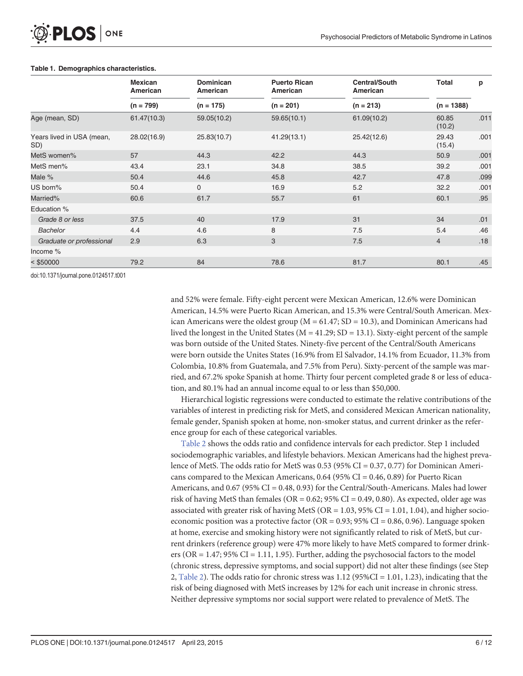|                                  | <b>Mexican</b><br>American | <b>Dominican</b><br>American | <b>Puerto Rican</b><br>American | <b>Central/South</b><br>American | Total           | p    |
|----------------------------------|----------------------------|------------------------------|---------------------------------|----------------------------------|-----------------|------|
|                                  | $(n = 799)$                | $(n = 175)$                  | $(n = 201)$                     | $(n = 213)$                      | $(n = 1388)$    |      |
| Age (mean, SD)                   | 61.47(10.3)                | 59.05(10.2)                  | 59.65(10.1)                     | 61.09(10.2)                      | 60.85<br>(10.2) | .011 |
| Years lived in USA (mean,<br>SD) | 28.02(16.9)                | 25.83(10.7)                  | 41.29(13.1)                     | 25.42(12.6)                      | 29.43<br>(15.4) | .001 |
| MetS women%                      | 57                         | 44.3                         | 42.2                            | 44.3                             | 50.9            | .001 |
| MetS men%                        | 43.4                       | 23.1                         | 34.8                            | 38.5                             | 39.2            | .001 |
| Male %                           | 50.4                       | 44.6                         | 45.8                            | 42.7                             | 47.8            | .099 |
| US born%                         | 50.4                       | 0                            | 16.9                            | 5.2                              | 32.2            | .001 |
| Married%                         | 60.6                       | 61.7                         | 55.7                            | 61                               | 60.1            | .95  |
| Education %                      |                            |                              |                                 |                                  |                 |      |
| Grade 8 or less                  | 37.5                       | 40                           | 17.9                            | 31                               | 34              | .01  |
| <b>Bachelor</b>                  | 4.4                        | 4.6                          | 8                               | 7.5                              | 5.4             | .46  |
| Graduate or professional         | 2.9                        | 6.3                          | 3                               | 7.5                              | $\overline{4}$  | .18  |
| Income %                         |                            |                              |                                 |                                  |                 |      |
| $<$ \$50000                      | 79.2                       | 84                           | 78.6                            | 81.7                             | 80.1            | .45  |

#### <span id="page-5-0"></span>[Table 1.](#page-4-0) Demographics characteristics.

doi:10.1371/journal.pone.0124517.t001

and 52% were female. Fifty-eight percent were Mexican American, 12.6% were Dominican American, 14.5% were Puerto Rican American, and 15.3% were Central/South American. Mexican Americans were the oldest group ( $M = 61.47$ ; SD = 10.3), and Dominican Americans had lived the longest in the United States ( $M = 41.29$ ; SD = 13.1). Sixty-eight percent of the sample was born outside of the United States. Ninety-five percent of the Central/South Americans were born outside the Unites States (16.9% from El Salvador, 14.1% from Ecuador, 11.3% from Colombia, 10.8% from Guatemala, and 7.5% from Peru). Sixty-percent of the sample was married, and 67.2% spoke Spanish at home. Thirty four percent completed grade 8 or less of education, and 80.1% had an annual income equal to or less than \$50,000.

Hierarchical logistic regressions were conducted to estimate the relative contributions of the variables of interest in predicting risk for MetS, and considered Mexican American nationality, female gender, Spanish spoken at home, non-smoker status, and current drinker as the reference group for each of these categorical variables.

[Table 2](#page-6-0) shows the odds ratio and confidence intervals for each predictor. Step 1 included sociodemographic variables, and lifestyle behaviors. Mexican Americans had the highest prevalence of MetS. The odds ratio for MetS was  $0.53$  (95% CI =  $0.37, 0.77$ ) for Dominican Americans compared to the Mexican Americans,  $0.64$  (95% CI = 0.46, 0.89) for Puerto Rican Americans, and 0.67 (95% CI = 0.48, 0.93) for the Central/South-Americans. Males had lower risk of having MetS than females ( $OR = 0.62$ ;  $95\%$  CI = 0.49, 0.80). As expected, older age was associated with greater risk of having MetS ( $OR = 1.03$ ,  $95\%$  CI = 1.01, 1.04), and higher socioeconomic position was a protective factor (OR =  $0.93$ ; 95% CI =  $0.86$ , 0.96). Language spoken at home, exercise and smoking history were not significantly related to risk of MetS, but current drinkers (reference group) were 47% more likely to have MetS compared to former drinkers (OR  $= 1.47$ ; 95% CI  $= 1.11$ , 1.95). Further, adding the psychosocial factors to the model (chronic stress, depressive symptoms, and social support) did not alter these findings (see Step 2, [Table 2](#page-6-0)). The odds ratio for chronic stress was  $1.12$  (95%CI = 1.01, 1.23), indicating that the risk of being diagnosed with MetS increases by 12% for each unit increase in chronic stress. Neither depressive symptoms nor social support were related to prevalence of MetS. The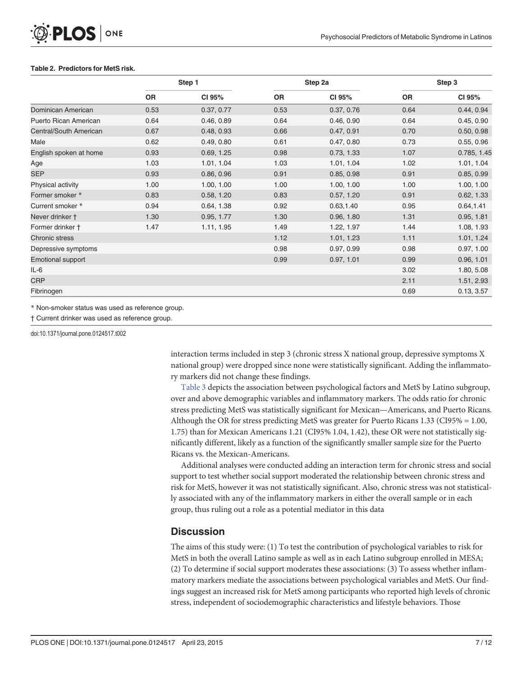#### <span id="page-6-0"></span>[Table 2.](#page-5-0) Predictors for MetS risk.

|                          | Step 1    |            |           | Step 2a    |           | Step 3      |  |
|--------------------------|-----------|------------|-----------|------------|-----------|-------------|--|
|                          | <b>OR</b> | CI 95%     | <b>OR</b> | CI 95%     | <b>OR</b> | CI 95%      |  |
| Dominican American       | 0.53      | 0.37, 0.77 | 0.53      | 0.37, 0.76 | 0.64      | 0.44, 0.94  |  |
| Puerto Rican American    | 0.64      | 0.46, 0.89 | 0.64      | 0.46, 0.90 | 0.64      | 0.45, 0.90  |  |
| Central/South American   | 0.67      | 0.48, 0.93 | 0.66      | 0.47, 0.91 | 0.70      | 0.50, 0.98  |  |
| Male                     | 0.62      | 0.49, 0.80 | 0.61      | 0.47, 0.80 | 0.73      | 0.55, 0.96  |  |
| English spoken at home   | 0.93      | 0.69, 1.25 | 0.98      | 0.73, 1.33 | 1.07      | 0.785, 1.45 |  |
| Age                      | 1.03      | 1.01, 1.04 | 1.03      | 1.01, 1.04 | 1.02      | 1.01, 1.04  |  |
| <b>SEP</b>               | 0.93      | 0.86, 0.96 | 0.91      | 0.85, 0.98 | 0.91      | 0.85, 0.99  |  |
| Physical activity        | 1.00      | 1.00, 1.00 | 1.00      | 1.00, 1.00 | 1.00      | 1.00, 1.00  |  |
| Former smoker *          | 0.83      | 0.58, 1.20 | 0.83      | 0.57, 1.20 | 0.91      | 0.62, 1.33  |  |
| Current smoker *         | 0.94      | 0.64, 1.38 | 0.92      | 0.63, 1.40 | 0.95      | 0.64, 1.41  |  |
| Never drinker †          | 1.30      | 0.95, 1.77 | 1.30      | 0.96, 1.80 | 1.31      | 0.95, 1.81  |  |
| Former drinker +         | 1.47      | 1.11, 1.95 | 1.49      | 1.22, 1.97 | 1.44      | 1.08, 1.93  |  |
| <b>Chronic stress</b>    |           |            | 1.12      | 1.01, 1.23 | 1.11      | 1.01, 1.24  |  |
| Depressive symptoms      |           |            | 0.98      | 0.97, 0.99 | 0.98      | 0.97, 1.00  |  |
| <b>Emotional support</b> |           |            | 0.99      | 0.97, 1.01 | 0.99      | 0.96, 1.01  |  |
| IL-6                     |           |            |           |            | 3.02      | 1.80, 5.08  |  |
| <b>CRP</b>               |           |            |           |            | 2.11      | 1.51, 2.93  |  |
| Fibrinogen               |           |            |           |            | 0.69      | 0.13, 3.57  |  |

\* Non-smoker status was used as reference group.

† Current drinker was used as reference group.

doi:10.1371/journal.pone.0124517.t002

interaction terms included in step 3 (chronic stress X national group, depressive symptoms X national group) were dropped since none were statistically significant. Adding the inflammatory markers did not change these findings.

[Table 3](#page-7-0) depicts the association between psychological factors and MetS by Latino subgroup, over and above demographic variables and inflammatory markers. The odds ratio for chronic stress predicting MetS was statistically significant for Mexican—Americans, and Puerto Ricans. Although the OR for stress predicting MetS was greater for Puerto Ricans 1.33 (CI95% = 1.00, 1.75) than for Mexican Americans 1.21 (CI95% 1.04, 1.42), these OR were not statistically significantly different, likely as a function of the significantly smaller sample size for the Puerto Ricans vs. the Mexican-Americans.

Additional analyses were conducted adding an interaction term for chronic stress and social support to test whether social support moderated the relationship between chronic stress and risk for MetS, however it was not statistically significant. Also, chronic stress was not statistically associated with any of the inflammatory markers in either the overall sample or in each group, thus ruling out a role as a potential mediator in this data

### **Discussion**

The aims of this study were: (1) To test the contribution of psychological variables to risk for MetS in both the overall Latino sample as well as in each Latino subgroup enrolled in MESA; (2) To determine if social support moderates these associations: (3) To assess whether inflammatory markers mediate the associations between psychological variables and MetS. Our findings suggest an increased risk for MetS among participants who reported high levels of chronic stress, independent of sociodemographic characteristics and lifestyle behaviors. Those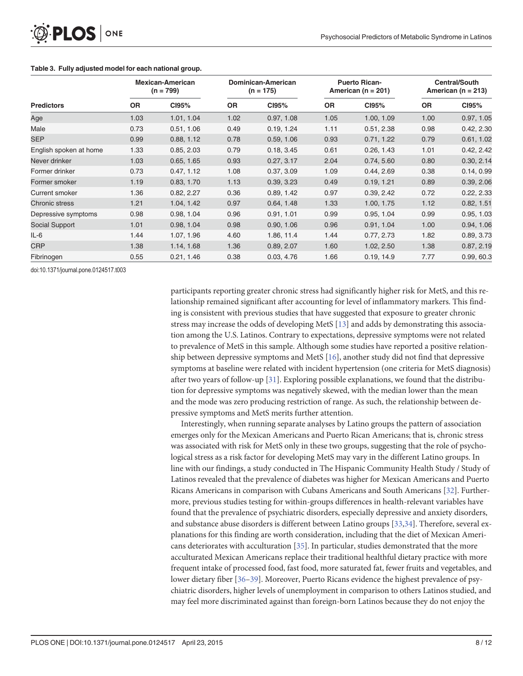|                        |           | <b>Mexican-American</b><br>$(n = 799)$ |           | Dominican-American<br>$(n = 175)$ |           | <b>Puerto Rican-</b><br>American ( $n = 201$ ) |           | <b>Central/South</b><br>American ( $n = 213$ ) |  |
|------------------------|-----------|----------------------------------------|-----------|-----------------------------------|-----------|------------------------------------------------|-----------|------------------------------------------------|--|
| <b>Predictors</b>      | <b>OR</b> | CI95%                                  | <b>OR</b> | CI95%                             | <b>OR</b> | CI95%                                          | <b>OR</b> | CI95%                                          |  |
| Age                    | 1.03      | 1.01, 1.04                             | 1.02      | 0.97, 1.08                        | 1.05      | 1.00, 1.09                                     | 1.00      | 0.97, 1.05                                     |  |
| Male                   | 0.73      | 0.51, 1.06                             | 0.49      | 0.19, 1.24                        | 1.11      | 0.51, 2.38                                     | 0.98      | 0.42, 2.30                                     |  |
| <b>SEP</b>             | 0.99      | 0.88, 1.12                             | 0.78      | 0.59, 1.06                        | 0.93      | 0.71, 1.22                                     | 0.79      | 0.61, 1.02                                     |  |
| English spoken at home | 1.33      | 0.85, 2.03                             | 0.79      | 0.18, 3.45                        | 0.61      | 0.26, 1.43                                     | 1.01      | 0.42, 2.42                                     |  |
| Never drinker          | 1.03      | 0.65, 1.65                             | 0.93      | 0.27, 3.17                        | 2.04      | 0.74, 5.60                                     | 0.80      | 0.30, 2.14                                     |  |
| Former drinker         | 0.73      | 0.47, 1.12                             | 1.08      | 0.37, 3.09                        | 1.09      | 0.44, 2.69                                     | 0.38      | 0.14, 0.99                                     |  |
| Former smoker          | 1.19      | 0.83, 1.70                             | 1.13      | 0.39, 3.23                        | 0.49      | 0.19, 1.21                                     | 0.89      | 0.39, 2.06                                     |  |
| Current smoker         | 1.36      | 0.82, 2.27                             | 0.36      | 0.89, 1.42                        | 0.97      | 0.39, 2.42                                     | 0.72      | 0.22, 2.33                                     |  |
| <b>Chronic stress</b>  | 1.21      | 1.04, 1.42                             | 0.97      | 0.64, 1.48                        | 1.33      | 1.00, 1.75                                     | 1.12      | 0.82, 1.51                                     |  |
| Depressive symptoms    | 0.98      | 0.98, 1.04                             | 0.96      | 0.91, 1.01                        | 0.99      | 0.95, 1.04                                     | 0.99      | 0.95, 1.03                                     |  |
| Social Support         | 1.01      | 0.98, 1.04                             | 0.98      | 0.90, 1.06                        | 0.96      | 0.91, 1.04                                     | 1.00      | 0.94, 1.06                                     |  |
| IL-6                   | 1.44      | 1.07, 1.96                             | 4.60      | 1.86, 11.4                        | 1.44      | 0.77, 2.73                                     | 1.82      | 0.89, 3.73                                     |  |
| <b>CRP</b>             | 1.38      | 1.14, 1.68                             | 1.36      | 0.89, 2.07                        | 1.60      | 1.02, 2.50                                     | 1.38      | 0.87, 2.19                                     |  |
| Fibrinogen             | 0.55      | 0.21, 1.46                             | 0.38      | 0.03, 4.76                        | 1.66      | 0.19, 14.9                                     | 7.77      | 0.99, 60.3                                     |  |

#### <span id="page-7-0"></span>[Table 3.](#page-6-0) Fully adjusted model for each national group.

doi:10.1371/journal.pone.0124517.t003

participants reporting greater chronic stress had significantly higher risk for MetS, and this relationship remained significant after accounting for level of inflammatory markers. This finding is consistent with previous studies that have suggested that exposure to greater chronic stress may increase the odds of developing MetS [[13](#page-10-0)] and adds by demonstrating this association among the U.S. Latinos. Contrary to expectations, depressive symptoms were not related to prevalence of MetS in this sample. Although some studies have reported a positive relationship between depressive symptoms and MetS [\[16](#page-10-0)], another study did not find that depressive symptoms at baseline were related with incident hypertension (one criteria for MetS diagnosis) after two years of follow-up [\[31](#page-10-0)]. Exploring possible explanations, we found that the distribution for depressive symptoms was negatively skewed, with the median lower than the mean and the mode was zero producing restriction of range. As such, the relationship between depressive symptoms and MetS merits further attention.

Interestingly, when running separate analyses by Latino groups the pattern of association emerges only for the Mexican Americans and Puerto Rican Americans; that is, chronic stress was associated with risk for MetS only in these two groups, suggesting that the role of psychological stress as a risk factor for developing MetS may vary in the different Latino groups. In line with our findings, a study conducted in The Hispanic Community Health Study / Study of Latinos revealed that the prevalence of diabetes was higher for Mexican Americans and Puerto Ricans Americans in comparison with Cubans Americans and South Americans [\[32](#page-10-0)]. Furthermore, previous studies testing for within-groups differences in health-relevant variables have found that the prevalence of psychiatric disorders, especially depressive and anxiety disorders, and substance abuse disorders is different between Latino groups [[33,34](#page-10-0)]. Therefore, several explanations for this finding are worth consideration, including that the diet of Mexican Americans deteriorates with acculturation [\[35\]](#page-11-0). In particular, studies demonstrated that the more acculturated Mexican Americans replace their traditional healthful dietary practice with more frequent intake of processed food, fast food, more saturated fat, fewer fruits and vegetables, and lower dietary fiber [\[36](#page-11-0)–[39](#page-11-0)]. Moreover, Puerto Ricans evidence the highest prevalence of psychiatric disorders, higher levels of unemployment in comparison to others Latinos studied, and may feel more discriminated against than foreign-born Latinos because they do not enjoy the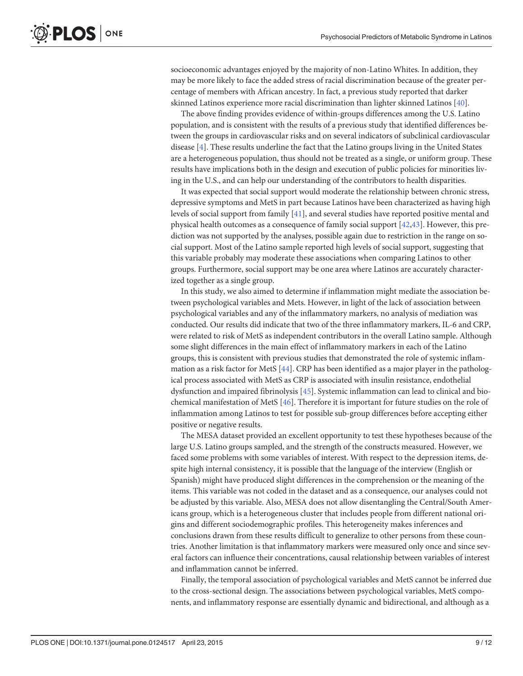<span id="page-8-0"></span>socioeconomic advantages enjoyed by the majority of non-Latino Whites. In addition, they may be more likely to face the added stress of racial discrimination because of the greater percentage of members with African ancestry. In fact, a previous study reported that darker skinned Latinos experience more racial discrimination than lighter skinned Latinos [[40](#page-11-0)].

The above finding provides evidence of within-groups differences among the U.S. Latino population, and is consistent with the results of a previous study that identified differences between the groups in cardiovascular risks and on several indicators of subclinical cardiovascular disease [\[4](#page-9-0)]. These results underline the fact that the Latino groups living in the United States are a heterogeneous population, thus should not be treated as a single, or uniform group. These results have implications both in the design and execution of public policies for minorities living in the U.S., and can help our understanding of the contributors to health disparities.

It was expected that social support would moderate the relationship between chronic stress, depressive symptoms and MetS in part because Latinos have been characterized as having high levels of social support from family [\[41\]](#page-11-0), and several studies have reported positive mental and physical health outcomes as a consequence of family social support  $[42,43]$ . However, this prediction was not supported by the analyses, possible again due to restriction in the range on social support. Most of the Latino sample reported high levels of social support, suggesting that this variable probably may moderate these associations when comparing Latinos to other groups. Furthermore, social support may be one area where Latinos are accurately characterized together as a single group.

In this study, we also aimed to determine if inflammation might mediate the association between psychological variables and Mets. However, in light of the lack of association between psychological variables and any of the inflammatory markers, no analysis of mediation was conducted. Our results did indicate that two of the three inflammatory markers, IL-6 and CRP, were related to risk of MetS as independent contributors in the overall Latino sample. Although some slight differences in the main effect of inflammatory markers in each of the Latino groups, this is consistent with previous studies that demonstrated the role of systemic inflammation as a risk factor for MetS [\[44](#page-11-0)]. CRP has been identified as a major player in the pathological process associated with MetS as CRP is associated with insulin resistance, endothelial dysfunction and impaired fibrinolysis [[45](#page-11-0)]. Systemic inflammation can lead to clinical and biochemical manifestation of MetS [\[46\]](#page-11-0). Therefore it is important for future studies on the role of inflammation among Latinos to test for possible sub-group differences before accepting either positive or negative results.

The MESA dataset provided an excellent opportunity to test these hypotheses because of the large U.S. Latino groups sampled, and the strength of the constructs measured. However, we faced some problems with some variables of interest. With respect to the depression items, despite high internal consistency, it is possible that the language of the interview (English or Spanish) might have produced slight differences in the comprehension or the meaning of the items. This variable was not coded in the dataset and as a consequence, our analyses could not be adjusted by this variable. Also, MESA does not allow disentangling the Central/South Americans group, which is a heterogeneous cluster that includes people from different national origins and different sociodemographic profiles. This heterogeneity makes inferences and conclusions drawn from these results difficult to generalize to other persons from these countries. Another limitation is that inflammatory markers were measured only once and since several factors can influence their concentrations, causal relationship between variables of interest and inflammation cannot be inferred.

Finally, the temporal association of psychological variables and MetS cannot be inferred due to the cross-sectional design. The associations between psychological variables, MetS components, and inflammatory response are essentially dynamic and bidirectional, and although as a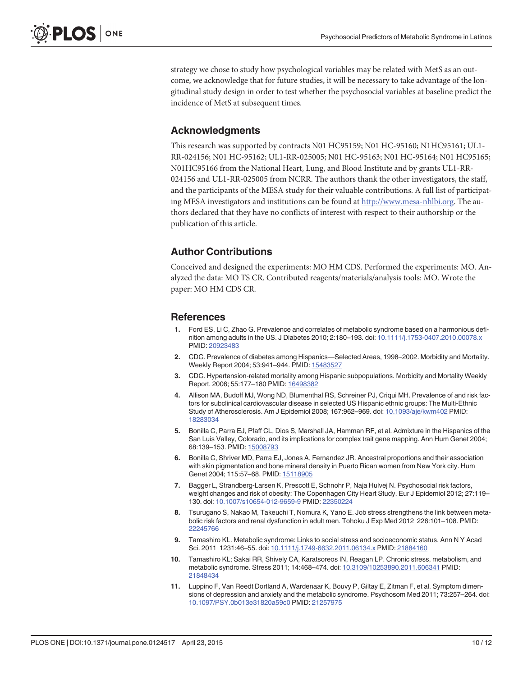<span id="page-9-0"></span>strategy we chose to study how psychological variables may be related with MetS as an outcome, we acknowledge that for future studies, it will be necessary to take advantage of the longitudinal study design in order to test whether the psychosocial variables at baseline predict the incidence of MetS at subsequent times.

## Acknowledgments

This research was supported by contracts N01 HC95159; N01 HC-95160; N1HC95161; UL1- RR-024156; N01 HC-95162; UL1-RR-025005; N01 HC-95163; N01 HC-95164; N01 HC95165; N01HC95166 from the National Heart, Lung, and Blood Institute and by grants UL1-RR-024156 and UL1-RR-025005 from NCRR. The authors thank the other investigators, the staff, and the participants of the MESA study for their valuable contributions. A full list of participating MESA investigators and institutions can be found at [http://www.mesa-nhlbi.org](http://www.mesa-nhlbi.org/). The authors declared that they have no conflicts of interest with respect to their authorship or the publication of this article.

# Author Contributions

Conceived and designed the experiments: MO HM CDS. Performed the experiments: MO. Analyzed the data: MO TS CR. Contributed reagents/materials/analysis tools: MO. Wrote the paper: MO HM CDS CR.

#### References

- [1.](#page-1-0) Ford ES, Li C, Zhao G. Prevalence and correlates of metabolic syndrome based on a harmonious definition among adults in the US. J Diabetes 2010; 2:180–193. doi: [10.1111/j.1753-0407.2010.00078.x](http://dx.doi.org/10.1111/j.1753-0407.2010.00078.x) PMID: [20923483](http://www.ncbi.nlm.nih.gov/pubmed/20923483)
- [2.](#page-1-0) CDC. Prevalence of diabetes among Hispanics—Selected Areas, 1998–2002. Morbidity and Mortality. Weekly Report 2004; 53:941–944. PMID: [15483527](http://www.ncbi.nlm.nih.gov/pubmed/15483527)
- [3.](#page-1-0) CDC. Hypertension-related mortality among Hispanic subpopulations. Morbidity and Mortality Weekly Report. 2006; 55:177–180 PMID: [16498382](http://www.ncbi.nlm.nih.gov/pubmed/16498382)
- [4.](#page-1-0) Allison MA, Budoff MJ, Wong ND, Blumenthal RS, Schreiner PJ, Criqui MH. Prevalence of and risk factors for subclinical cardiovascular disease in selected US Hispanic ethnic groups: The Multi-Ethnic Study of Atherosclerosis. Am J Epidemiol 2008; 167:962–969. doi: [10.1093/aje/kwm402](http://dx.doi.org/10.1093/aje/kwm402) PMID: [18283034](http://www.ncbi.nlm.nih.gov/pubmed/18283034)
- [5.](#page-1-0) Bonilla C, Parra EJ, Pfaff CL, Dios S, Marshall JA, Hamman RF, et al. Admixture in the Hispanics of the San Luis Valley, Colorado, and its implications for complex trait gene mapping. Ann Hum Genet 2004; 68:139–153. PMID: [15008793](http://www.ncbi.nlm.nih.gov/pubmed/15008793)
- [6.](#page-1-0) Bonilla C, Shriver MD, Parra EJ, Jones A, Fernandez JR. Ancestral proportions and their association with skin pigmentation and bone mineral density in Puerto Rican women from New York city. Hum Genet 2004; 115:57-68. PMID: [15118905](http://www.ncbi.nlm.nih.gov/pubmed/15118905)
- [7.](#page-1-0) Bagger L, Strandberg-Larsen K, Prescott E, Schnohr P, Naja Hulvej N. Psychosocial risk factors, weight changes and risk of obesity: The Copenhagen City Heart Study. Eur J Epidemiol 2012; 27:119– 130. doi: [10.1007/s10654-012-9659-9](http://dx.doi.org/10.1007/s10654-012-9659-9) PMID: [22350224](http://www.ncbi.nlm.nih.gov/pubmed/22350224)
- 8. Tsurugano S, Nakao M, Takeuchi T, Nomura K, Yano E. Job stress strengthens the link between metabolic risk factors and renal dysfunction in adult men. Tohoku J Exp Med 2012 226:101–108. PMID: [22245766](http://www.ncbi.nlm.nih.gov/pubmed/22245766)
- 9. Tamashiro KL. Metabolic syndrome: Links to social stress and socioeconomic status. Ann N Y Acad Sci. 2011 1231:46–55. doi: [10.1111/j.1749-6632.2011.06134.x](http://dx.doi.org/10.1111/j.1749-6632.2011.06134.x) PMID: [21884160](http://www.ncbi.nlm.nih.gov/pubmed/21884160)
- 10. Tamashiro KL; Sakai RR, Shively CA, Karatsoreos IN, Reagan LP. Chronic stress, metabolism, and metabolic syndrome. Stress 2011; 14:468–474. doi: [10.3109/10253890.2011.606341](http://dx.doi.org/10.3109/10253890.2011.606341) PMID: [21848434](http://www.ncbi.nlm.nih.gov/pubmed/21848434)
- [11.](#page-1-0) Luppino F, Van Reedt Dortland A, Wardenaar K, Bouvy P, Giltay E, Zitman F, et al. Symptom dimensions of depression and anxiety and the metabolic syndrome. Psychosom Med 2011; 73:257–264. doi: [10.1097/PSY.0b013e31820a59c0](http://dx.doi.org/10.1097/PSY.0b013e31820a59c0) PMID: [21257975](http://www.ncbi.nlm.nih.gov/pubmed/21257975)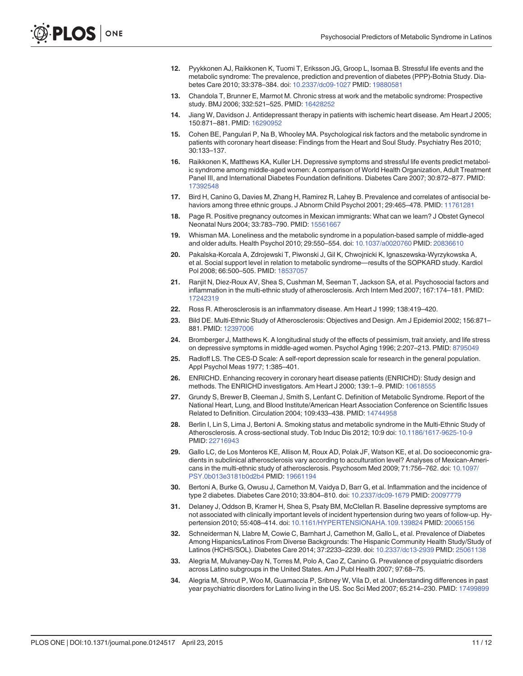- <span id="page-10-0"></span>[12.](#page-1-0) Pyykkonen AJ, Raikkonen K, Tuomi T, Eriksson JG, Groop L, Isomaa B. Stressful life events and the metabolic syndrome: The prevalence, prediction and prevention of diabetes (PPP)-Botnia Study. Diabetes Care 2010; 33:378–384. doi: [10.2337/dc09-1027](http://dx.doi.org/10.2337/dc09-1027) PMID: [19880581](http://www.ncbi.nlm.nih.gov/pubmed/19880581)
- [13.](#page-1-0) Chandola T, Brunner E, Marmot M. Chronic stress at work and the metabolic syndrome: Prospective study. BMJ 2006; 332:521–525. PMID: [16428252](http://www.ncbi.nlm.nih.gov/pubmed/16428252)
- [14.](#page-1-0) Jiang W, Davidson J. Antidepressant therapy in patients with ischemic heart disease. Am Heart J 2005; 150:871–881. PMID: [16290952](http://www.ncbi.nlm.nih.gov/pubmed/16290952)
- [15.](#page-1-0) Cohen BE, Pangulari P, Na B, Whooley MA. Psychological risk factors and the metabolic syndrome in patients with coronary heart disease: Findings from the Heart and Soul Study. Psychiatry Res 2010; 30:133–137.
- [16.](#page-1-0) Raikkonen K, Matthews KA, Kuller LH. Depressive symptoms and stressful life events predict metabolic syndrome among middle-aged women: A comparison of World Health Organization, Adult Treatment Panel III, and International Diabetes Foundation definitions. Diabetes Care 2007; 30:872–877. PMID: [17392548](http://www.ncbi.nlm.nih.gov/pubmed/17392548)
- [17.](#page-1-0) Bird H, Canino G, Davies M, Zhang H, Ramirez R, Lahey B. Prevalence and correlates of antisocial behaviors among three ethnic groups. J Abnorm Child Psychol 2001; 29:465–478. PMID: [11761281](http://www.ncbi.nlm.nih.gov/pubmed/11761281)
- [18.](#page-1-0) Page R. Positive pregnancy outcomes in Mexican immigrants: What can we learn? J Obstet Gynecol Neonatal Nurs 2004; 33:783–790. PMID: [15561667](http://www.ncbi.nlm.nih.gov/pubmed/15561667)
- [19.](#page-2-0) Whisman MA. Loneliness and the metabolic syndrome in a population-based sample of middle-aged and older adults. Health Psychol 2010; 29:550–554. doi: [10.1037/a0020760](http://dx.doi.org/10.1037/a0020760) PMID: [20836610](http://www.ncbi.nlm.nih.gov/pubmed/20836610)
- [20.](#page-2-0) Pakalska-Korcala A, Zdrojewski T, Piwonski J, Gil K, Chwojnicki K, Ignaszewska-Wyrzykowska A, et al. Social support level in relation to metabolic syndrome—results of the SOPKARD study. Kardiol Pol 2008; 66:500–505. PMID: [18537057](http://www.ncbi.nlm.nih.gov/pubmed/18537057)
- [21.](#page-2-0) Ranjit N, Diez-Roux AV, Shea S, Cushman M, Seeman T, Jackson SA, et al. Psychosocial factors and inflammation in the multi-ethnic study of atherosclerosis. Arch Intern Med 2007; 167:174–181. PMID: [17242319](http://www.ncbi.nlm.nih.gov/pubmed/17242319)
- [22.](#page-2-0) Ross R. Atherosclerosis is an inflammatory disease. Am Heart J 1999; 138:419–420.
- [23.](#page-2-0) Bild DE. Multi-Ethnic Study of Atherosclerosis: Objectives and Design. Am J Epidemiol 2002; 156:871– 881. PMID: [12397006](http://www.ncbi.nlm.nih.gov/pubmed/12397006)
- [24.](#page-3-0) Bromberger J, Matthews K. A longitudinal study of the effects of pessimism, trait anxiety, and life stress on depressive symptoms in middle-aged women. Psychol Aging 1996; 2:207–213. PMID: [8795049](http://www.ncbi.nlm.nih.gov/pubmed/8795049)
- [25.](#page-3-0) Radloff LS. The CES-D Scale: A self-report depression scale for research in the general population. Appl Psychol Meas 1977; 1:385–401.
- [26.](#page-3-0) ENRICHD. Enhancing recovery in coronary heart disease patients (ENRICHD): Study design and methods. The ENRICHD investigators. Am Heart J 2000; 139:1–9. PMID: [10618555](http://www.ncbi.nlm.nih.gov/pubmed/10618555)
- [27.](#page-3-0) Grundy S, Brewer B, Cleeman J, Smith S, Lenfant C. Definition of Metabolic Syndrome. Report of the National Heart, Lung, and Blood Institute/American Heart Association Conference on Scientific Issues Related to Definition. Circulation 2004; 109:433–438. PMID: [14744958](http://www.ncbi.nlm.nih.gov/pubmed/14744958)
- [28.](#page-3-0) Berlin I, Lin S, Lima J, Bertoni A. Smoking status and metabolic syndrome in the Multi-Ethnic Study of Atherosclerosis. A cross-sectional study. Tob Induc Dis 2012; 10:9 doi: [10.1186/1617-9625-10-9](http://dx.doi.org/10.1186/1617-9625-10-9) PMID: [22716943](http://www.ncbi.nlm.nih.gov/pubmed/22716943)
- [29.](#page-4-0) Gallo LC, de Los Monteros KE, Allison M, Roux AD, Polak JF, Watson KE, et al. Do socioeconomic gradients in subclinical atherosclerosis vary according to acculturation level? Analyses of Mexican-Americans in the multi-ethnic study of atherosclerosis. Psychosom Med 2009; 71:756–762. doi: [10.1097/](http://dx.doi.org/10.1097/PSY.0b013e3181b0d2b4) [PSY.0b013e3181b0d2b4](http://dx.doi.org/10.1097/PSY.0b013e3181b0d2b4) PMID: [19661194](http://www.ncbi.nlm.nih.gov/pubmed/19661194)
- [30.](#page-4-0) Bertoni A, Burke G, Owusu J, Carnethon M, Vaidya D, Barr G, et al. Inflammation and the incidence of type 2 diabetes. Diabetes Care 2010; 33:804–810. doi: [10.2337/dc09-1679](http://dx.doi.org/10.2337/dc09-1679) PMID: [20097779](http://www.ncbi.nlm.nih.gov/pubmed/20097779)
- [31.](#page-7-0) Delaney J, Oddson B, Kramer H, Shea S, Psaty BM, McClellan R. Baseline depressive symptoms are not associated with clinically important levels of incident hypertension during two years of follow-up. Hypertension 2010; 55:408–414. doi: [10.1161/HYPERTENSIONAHA.109.139824](http://dx.doi.org/10.1161/HYPERTENSIONAHA.109.139824) PMID: [20065156](http://www.ncbi.nlm.nih.gov/pubmed/20065156)
- [32.](#page-7-0) Schneiderman N, Llabre M, Cowie C, Barnhart J, Carnethon M, Gallo L, et al. Prevalence of Diabetes Among Hispanics/Latinos From Diverse Backgrounds: The Hispanic Community Health Study/Study of Latinos (HCHS/SOL). Diabetes Care 2014; 37:2233–2239. doi: [10.2337/dc13-2939](http://dx.doi.org/10.2337/dc13-2939) PMID: [25061138](http://www.ncbi.nlm.nih.gov/pubmed/25061138)
- [33.](#page-7-0) Alegria M, Mulvaney-Day N, Torres M, Polo A, Cao Z, Canino G. Prevalence of psyquiatric disorders across Latino subgroups in the United States. Am J Publ Health 2007; 97:68–75.
- [34.](#page-7-0) Alegria M, Shrout P, Woo M, Guarnaccia P, Sribney W, Vila D, et al. Understanding differences in past year psychiatric disorders for Latino living in the US. Soc Sci Med 2007; 65:214–230. PMID: [17499899](http://www.ncbi.nlm.nih.gov/pubmed/17499899)